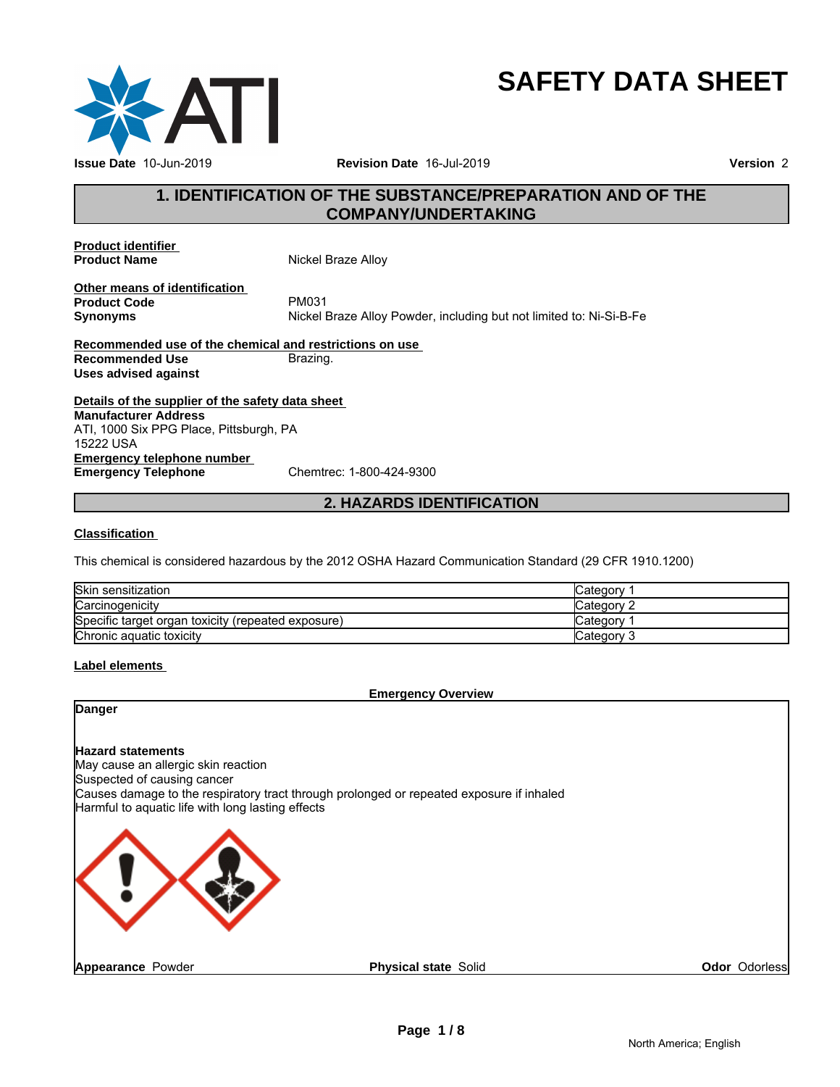

# **SAFETY DATA SHEET**

# **1. IDENTIFICATION OF THE SUBSTANCE/PREPARATION AND OF THE<br>
1. IDENTIFICATION OF THE SUBSTANCE/PREPARATION AND OF THE<br>
COMPANY/UNDERTAKING COMPANY/UNDERTAKING**

**Product identifier** 

**Nickel Braze Alloy** 

**Other means of identification**<br>**Product Code** PM031 **Product Code**<br>Synonyms

**Synonyms** Nickel Braze Alloy Powder, including but not limited to: Ni-Si-B-Fe <sup>21</sup><br>
Braze Alloy Powder, including but not limited to: Ni-Si-B-Fe<br> **articitions on use**<br>
<u>a.</u><br> **2. HAZARDS IDENTIFICATION**<br>
2012 OSHA Hazard Communication Standard (29 CFR 1910.1200)

**Recommended use of the chemical and restrictions on use Recommended Use** Brazing. **Uses advised against**

**Details of the supplier of the safety data sheet Emergency telephone number**<br> **Emergency Telephone**<br>
Chemtrec: 1-800-424-9300 **Emergency Telephone Manufacturer Address** ATI, 1000 Six PPG Place, Pittsburgh, PA 15222 USA

### **Classification**

This chemical is considered hazardous by the 2012 OSHA Hazard Communication Standard (29 CFR 1910.1200)

| Skin sensitization                                 | Category    |
|----------------------------------------------------|-------------|
| Carcinogenicity                                    | Category 2  |
| Specific target organ toxicity (repeated exposure) | Category ∂  |
| Chronic aguatic toxicity                           | lCategorv 3 |

### **Label elements**

### **Emergency Overview**

### **Danger**

**Hazard statements**

May cause an allergic skin reaction Suspected of causing cancer Causes damage to the respiratory tract through prolonged or repeated exposure if inhaled Harmful to aquatic life with long lasting effects



**Odor** Odorless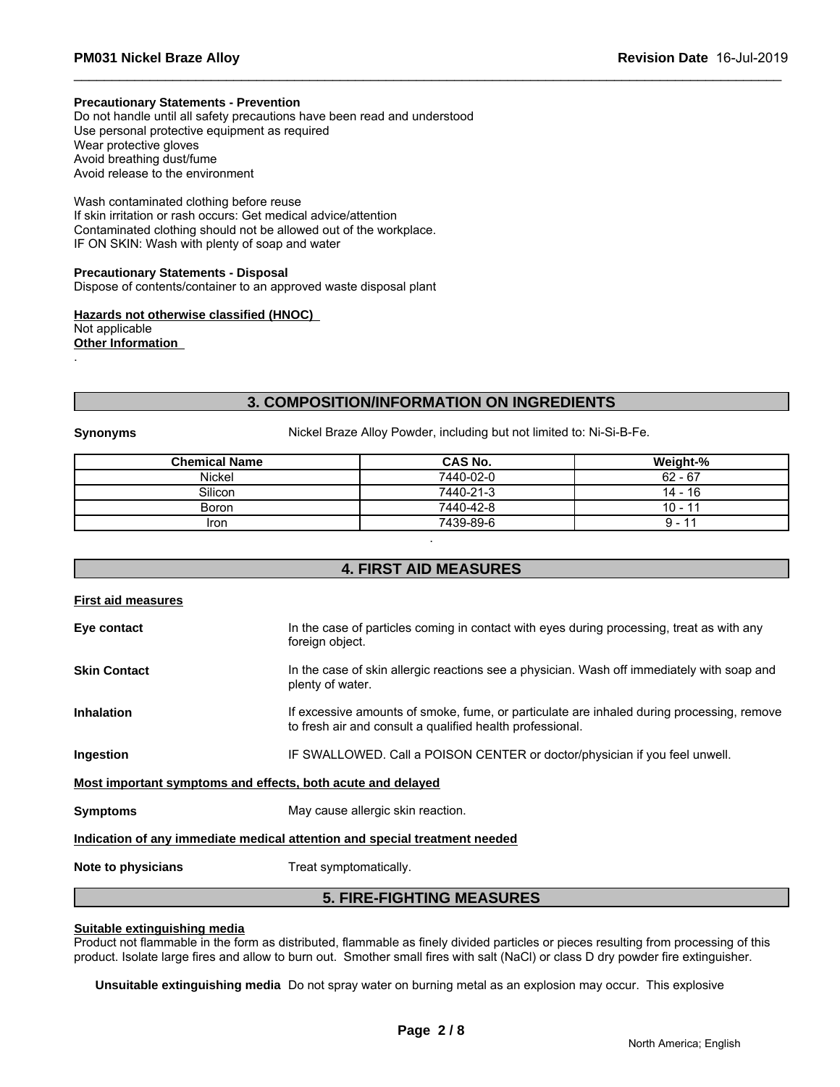### **Precautionary Statements - Prevention**

Do not handle until all safety precautions have been read and understood Use personal protective equipment as required Wear protective gloves Avoid breathing dust/fume Avoid release to the environment

Wash contaminated clothing before reuse If skin irritation or rash occurs: Get medical advice/attention Contaminated clothing should not be allowed out of the workplace. IF ON SKIN: Wash with plenty of soap and water Avoid release to the environment<br>
Wash contaminated clothing before reuse<br>
If shin irritation or rash occurs: Cel redictal advice/attention<br>
Contaminated clothing should not be allowed out of the workplace.<br>
IF ON SKIN: Wa

**Precautionary Statements - Disposal** Dispose of contents/container to an approved waste disposal plant

**Hazards not otherwise classified (HNOC)**  Not applicable **Other Information** 

|                      | <b>3. COMPOSITION/INFORMATION ON INGREDIENTS</b>                     |           |
|----------------------|----------------------------------------------------------------------|-----------|
| <b>Synonyms</b>      | Nickel Braze Alloy Powder, including but not limited to: Ni-Si-B-Fe. |           |
| <b>Chemical Name</b> | CAS No.                                                              | Weight-%  |
| Nickel               | 7440-02-0                                                            | $62 - 67$ |
| Silicon              | 7440-21-3                                                            | $14 - 16$ |
| <b>Boron</b>         | 7440-42-8                                                            | $10 - 11$ |
| <b>Iron</b>          | 7439-89-6                                                            | $9 - 11$  |
|                      |                                                                      |           |
|                      | <b>4. FIRST AID MEASURES</b>                                         |           |

| First aid measures  |                                                                                                                                                        |
|---------------------|--------------------------------------------------------------------------------------------------------------------------------------------------------|
| Eye contact         | In the case of particles coming in contact with eyes during processing, treat as with any<br>foreign object.                                           |
| <b>Skin Contact</b> | In the case of skin allergic reactions see a physician. Wash off immediately with soap and<br>plenty of water.                                         |
| <b>Inhalation</b>   | If excessive amounts of smoke, fume, or particulate are inhaled during processing, remove<br>to fresh air and consult a qualified health professional. |
| Ingestion           | IF SWALLOWED. Call a POISON CENTER or doctor/physician if you feel unwell.                                                                             |
|                     | Most important symptoms and effects, both acute and delayed                                                                                            |
| <b>Symptoms</b>     | May cause allergic skin reaction.                                                                                                                      |
|                     | Indication of any immediate medical attention and special treatment needed                                                                             |
| Note to physicians  | Treat symptomatically.                                                                                                                                 |
|                     | <b>5. FIRE-FIGHTING MEASURES</b>                                                                                                                       |

### **Suitable extinguishing media**

Product not flammable in the form as distributed, flammable as finely divided particles or pieces resulting from processing of this product. Isolate large fires and allow to burn out. Smother small fires with salt (NaCl) or class D dry powder fire extinguisher.

**Unsuitable extinguishing media** Do not spray water on burning metal as an explosion may occur. This explosive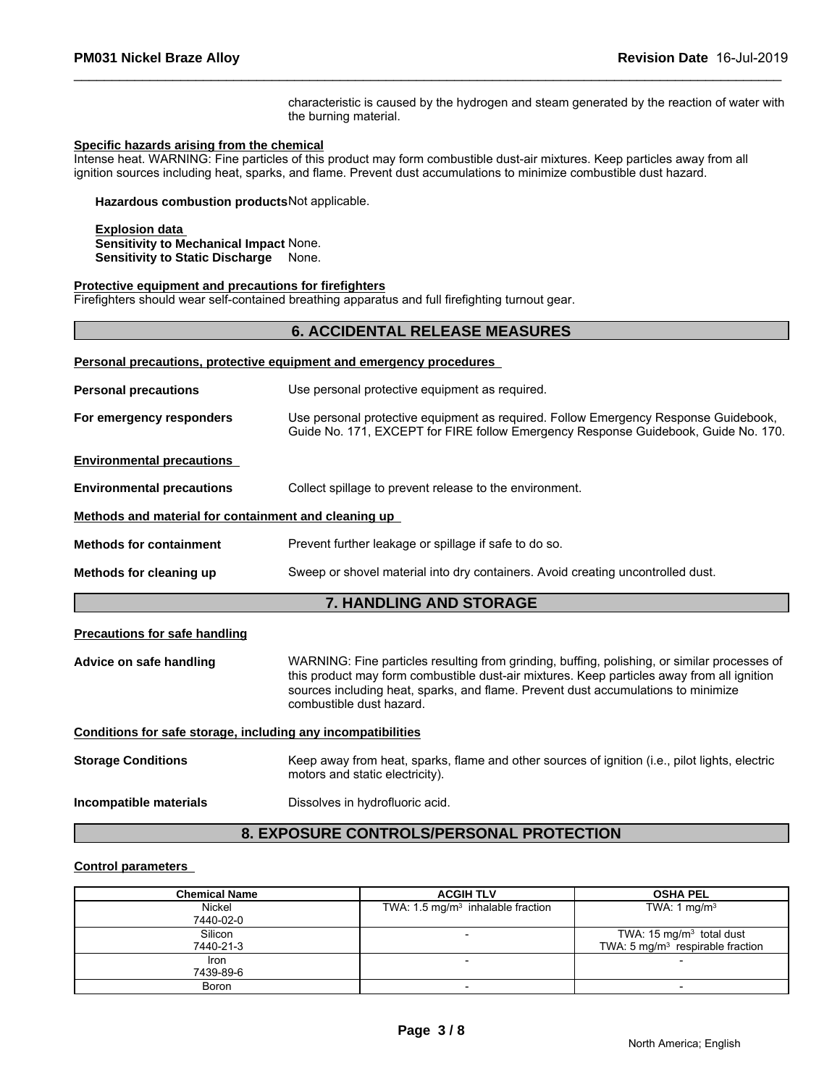### **Specific hazards arising from the chemical**

### **Protective equipment and precautions for firefighters**

|                                                                                                           | characteristic is caused by the hydrogen and steam generated by the reaction of water with<br>the burning material.                                                                                                                                                                                         |
|-----------------------------------------------------------------------------------------------------------|-------------------------------------------------------------------------------------------------------------------------------------------------------------------------------------------------------------------------------------------------------------------------------------------------------------|
| Specific hazards arising from the chemical                                                                | Intense heat. WARNING: Fine particles of this product may form combustible dust-air mixtures. Keep particles away from all                                                                                                                                                                                  |
|                                                                                                           | ignition sources including heat, sparks, and flame. Prevent dust accumulations to minimize combustible dust hazard.                                                                                                                                                                                         |
| Hazardous combustion products Not applicable.                                                             |                                                                                                                                                                                                                                                                                                             |
| <b>Explosion data</b><br>Sensitivity to Mechanical Impact None.<br><b>Sensitivity to Static Discharge</b> | None.                                                                                                                                                                                                                                                                                                       |
| Protective equipment and precautions for firefighters                                                     | Firefighters should wear self-contained breathing apparatus and full firefighting turnout gear.                                                                                                                                                                                                             |
|                                                                                                           | <b>6. ACCIDENTAL RELEASE MEASURES</b>                                                                                                                                                                                                                                                                       |
|                                                                                                           | Personal precautions, protective equipment and emergency procedures                                                                                                                                                                                                                                         |
| <b>Personal precautions</b>                                                                               | Use personal protective equipment as required.                                                                                                                                                                                                                                                              |
| For emergency responders                                                                                  | Use personal protective equipment as required. Follow Emergency Response Guidebook,<br>Guide No. 171, EXCEPT for FIRE follow Emergency Response Guidebook, Guide No. 170.                                                                                                                                   |
| <b>Environmental precautions</b>                                                                          |                                                                                                                                                                                                                                                                                                             |
| <b>Environmental precautions</b>                                                                          | Collect spillage to prevent release to the environment.                                                                                                                                                                                                                                                     |
| Methods and material for containment and cleaning up                                                      |                                                                                                                                                                                                                                                                                                             |
| <b>Methods for containment</b>                                                                            | Prevent further leakage or spillage if safe to do so.                                                                                                                                                                                                                                                       |
| Methods for cleaning up                                                                                   | Sweep or shovel material into dry containers. Avoid creating uncontrolled dust.                                                                                                                                                                                                                             |
|                                                                                                           | 7. HANDLING AND STORAGE                                                                                                                                                                                                                                                                                     |
| <b>Precautions for safe handling</b>                                                                      |                                                                                                                                                                                                                                                                                                             |
| Advice on safe handling                                                                                   | WARNING: Fine particles resulting from grinding, buffing, polishing, or similar processes of<br>this product may form combustible dust-air mixtures. Keep particles away from all ignition<br>sources including heat, sparks, and flame. Prevent dust accumulations to minimize<br>combustible dust hazard. |
| Conditions for safe storage, including any incompatibilities                                              |                                                                                                                                                                                                                                                                                                             |
| <b>Storage Conditions</b>                                                                                 | Keep away from heat, sparks, flame and other sources of ignition (i.e., pilot lights, electric<br>motors and static electricity).                                                                                                                                                                           |
| Incompatible materials                                                                                    | Dissolves in hydrofluoric acid.                                                                                                                                                                                                                                                                             |
|                                                                                                           | 8. EXPOSURE CONTROLS/PERSONAL PROTECTION                                                                                                                                                                                                                                                                    |
| <b>Control parameters</b>                                                                                 |                                                                                                                                                                                                                                                                                                             |
| Chamical Nama                                                                                             | <b>ACGIH TI V</b><br><b>OSHA PEI</b>                                                                                                                                                                                                                                                                        |

### **Control parameters**

| <b>Chemical Name</b> | <b>ACGIH TLV</b>                             | <b>OSHA PEL</b>                                                                     |
|----------------------|----------------------------------------------|-------------------------------------------------------------------------------------|
| Nickel<br>7440-02-0  | TWA: $1.5 \text{ mg/m}^3$ inhalable fraction | TWA: 1 $mg/m3$                                                                      |
| Silicon<br>7440-21-3 | $\overline{\phantom{0}}$                     | TWA: 15 mg/m <sup>3</sup> total dust<br>TWA: $5 \text{ mg/m}^3$ respirable fraction |
| Iron<br>7439-89-6    |                                              |                                                                                     |
| <b>Boron</b>         |                                              |                                                                                     |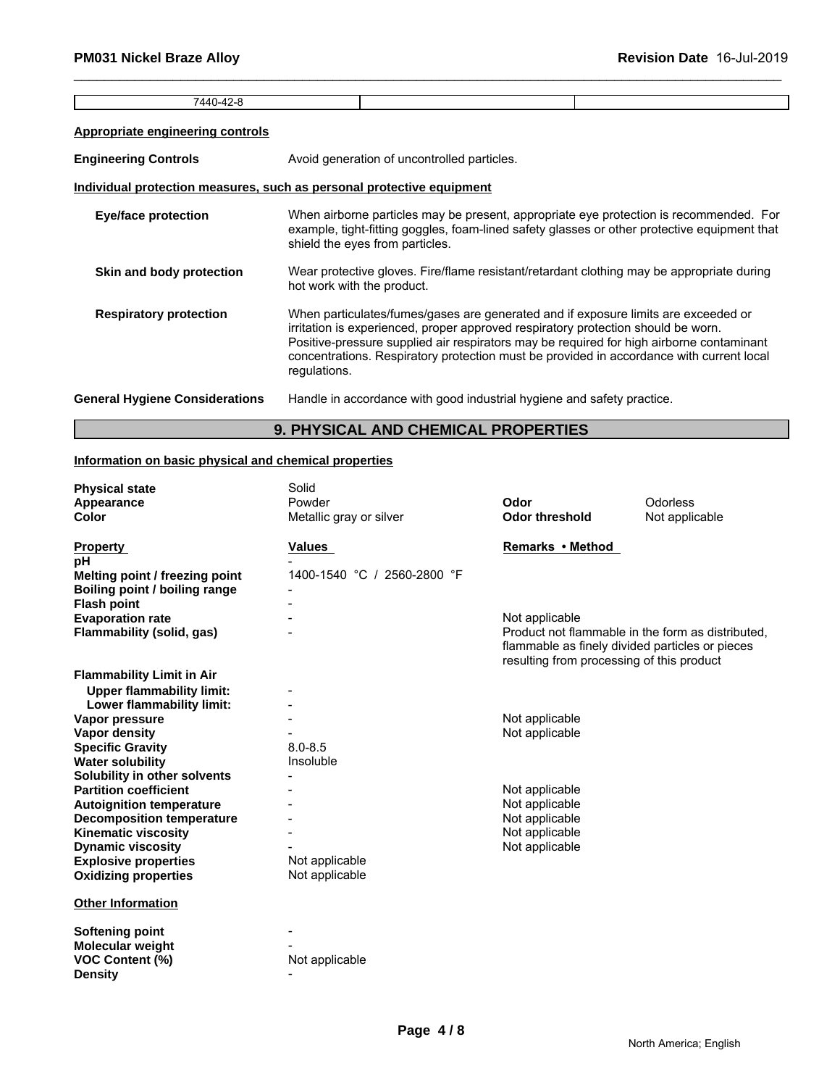| $\overline{\phantom{0}}$<br>ו ג י<br>. . |  |
|------------------------------------------|--|
|                                          |  |

### **Appropriate engineering controls**

**Engineering Controls Avoid generation of uncontrolled particles.** 

# **Individual protection measures, such as personal protective equipment**

| <b>Eye/face protection</b>                            | When airborne particles may be present, appropriate eye protection is recommended. For<br>example, tight-fitting goggles, foam-lined safety glasses or other protective equipment that<br>shield the eyes from particles.                                                                                                                                                       |  |
|-------------------------------------------------------|---------------------------------------------------------------------------------------------------------------------------------------------------------------------------------------------------------------------------------------------------------------------------------------------------------------------------------------------------------------------------------|--|
| Skin and body protection                              | Wear protective gloves. Fire/flame resistant/retardant clothing may be appropriate during<br>hot work with the product.                                                                                                                                                                                                                                                         |  |
| <b>Respiratory protection</b>                         | When particulates/fumes/gases are generated and if exposure limits are exceeded or<br>irritation is experienced, proper approved respiratory protection should be worn.<br>Positive-pressure supplied air respirators may be required for high airborne contaminant<br>concentrations. Respiratory protection must be provided in accordance with current local<br>regulations. |  |
| <b>General Hygiene Considerations</b>                 | Handle in accordance with good industrial hygiene and safety practice.                                                                                                                                                                                                                                                                                                          |  |
| <b>9. PHYSICAL AND CHEMICAL PROPERTIES</b>            |                                                                                                                                                                                                                                                                                                                                                                                 |  |
| Information on basic physical and chemical properties |                                                                                                                                                                                                                                                                                                                                                                                 |  |
| <b>Physical state</b>                                 | Solid                                                                                                                                                                                                                                                                                                                                                                           |  |

# **Information on basic physical and chemical properties**

| <b>Physical state</b>            | Solid                       |                                                 |                                                   |
|----------------------------------|-----------------------------|-------------------------------------------------|---------------------------------------------------|
| Appearance                       | Powder                      | Odor                                            | Odorless                                          |
| <b>Color</b>                     | Metallic gray or silver     | <b>Odor threshold</b>                           | Not applicable                                    |
|                                  |                             |                                                 |                                                   |
| <b>Property</b>                  | Values                      | Remarks • Method                                |                                                   |
| pН                               |                             |                                                 |                                                   |
| Melting point / freezing point   | 1400-1540 °C / 2560-2800 °F |                                                 |                                                   |
| Boiling point / boiling range    |                             |                                                 |                                                   |
| <b>Flash point</b>               |                             |                                                 |                                                   |
| <b>Evaporation rate</b>          |                             | Not applicable                                  |                                                   |
| Flammability (solid, gas)        |                             |                                                 | Product not flammable in the form as distributed, |
|                                  |                             | flammable as finely divided particles or pieces |                                                   |
|                                  |                             | resulting from processing of this product       |                                                   |
| <b>Flammability Limit in Air</b> |                             |                                                 |                                                   |
| <b>Upper flammability limit:</b> |                             |                                                 |                                                   |
| Lower flammability limit:        |                             |                                                 |                                                   |
| Vapor pressure                   |                             | Not applicable                                  |                                                   |
| Vapor density                    |                             | Not applicable                                  |                                                   |
| <b>Specific Gravity</b>          | $8.0 - 8.5$                 |                                                 |                                                   |
| <b>Water solubility</b>          | Insoluble                   |                                                 |                                                   |
| Solubility in other solvents     |                             |                                                 |                                                   |
| <b>Partition coefficient</b>     |                             | Not applicable                                  |                                                   |
| <b>Autoignition temperature</b>  |                             | Not applicable                                  |                                                   |
| <b>Decomposition temperature</b> |                             | Not applicable                                  |                                                   |
| <b>Kinematic viscosity</b>       |                             | Not applicable                                  |                                                   |
| <b>Dynamic viscosity</b>         |                             | Not applicable                                  |                                                   |
| <b>Explosive properties</b>      | Not applicable              |                                                 |                                                   |
| <b>Oxidizing properties</b>      | Not applicable              |                                                 |                                                   |
| <b>Other Information</b>         |                             |                                                 |                                                   |
| <b>Softening point</b>           |                             |                                                 |                                                   |
| Molecular weight                 |                             |                                                 |                                                   |
| <b>VOC Content (%)</b>           | Not applicable              |                                                 |                                                   |
| <b>Density</b>                   |                             |                                                 |                                                   |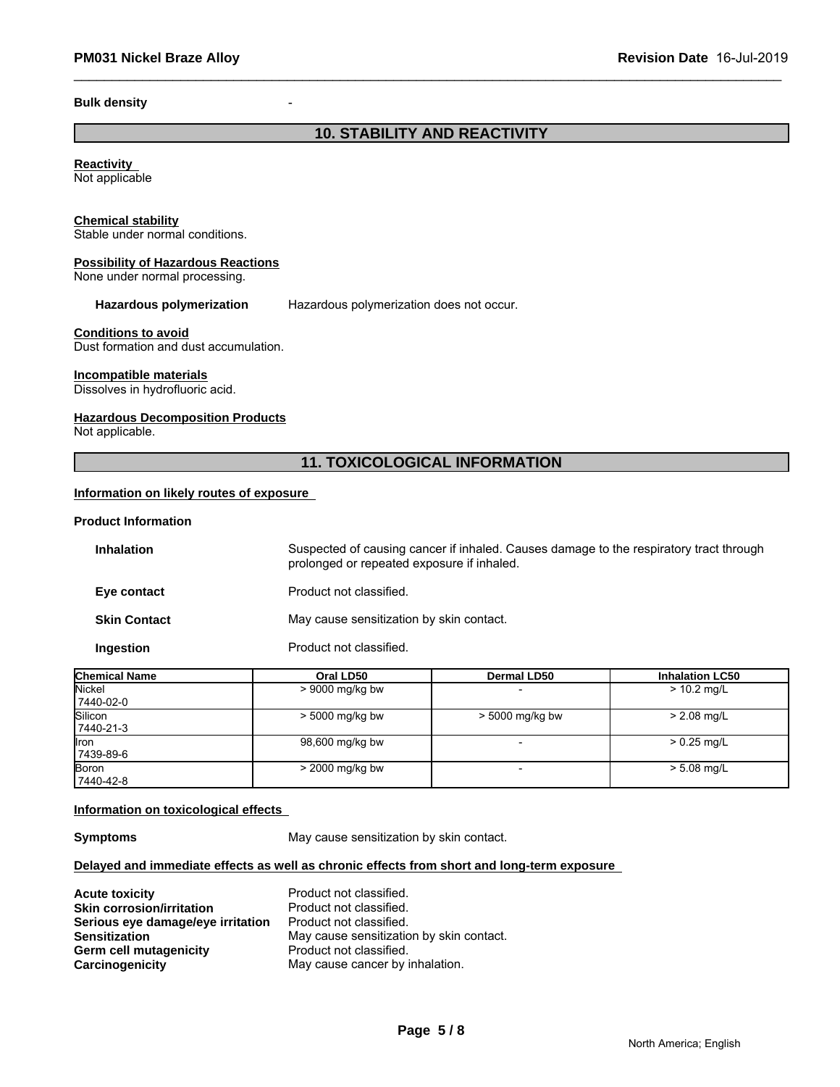### **Bulk density** -

# **10. STABILITY AND REACTIVITY**

### **Reactivity**  Not applicable

### **Chemical stability**

Stable under normal conditions.

### **Possibility of Hazardous Reactions**

None under normal processing.

**Hazardous polymerization** Hazardous polymerization does not occur.

**Conditions to avoid** Dust formation and dust accumulation.

### **Incompatible materials**

Dissolves in hydrofluoric acid.

### **Hazardous Decomposition Products**

Not applicable.

# **11. TOXICOLOGICAL INFORMATION**

### **Information on likely routes of exposure**

### **Product Information**

| <b>Inhalation</b>   | Suspected of causing cancer if inhaled. Causes damage to the respiratory tract through<br>prolonged or repeated exposure if inhaled. |
|---------------------|--------------------------------------------------------------------------------------------------------------------------------------|
| Eye contact         | Product not classified.                                                                                                              |
| <b>Skin Contact</b> | May cause sensitization by skin contact.                                                                                             |
| Ingestion           | Product not classified.                                                                                                              |

| <b>Chemical Name</b>       | Oral LD50         | <b>Dermal LD50</b> | <b>Inhalation LC50</b> |
|----------------------------|-------------------|--------------------|------------------------|
| <b>Nickel</b><br>7440-02-0 | $> 9000$ mg/kg bw |                    | $> 10.2$ mg/L          |
| Silicon<br>7440-21-3       | > 5000 mg/kg bw   | $> 5000$ mg/kg bw  | $> 2.08$ mg/L          |
| llron<br>7439-89-6         | 98,600 mg/kg bw   |                    | $> 0.25$ mg/L          |
| Boron<br>7440-42-8         | $>$ 2000 mg/kg bw |                    | $> 5.08$ mg/L          |

### **Information on toxicological effects**

**Symptoms** May cause sensitization by skin contact.

### **Delayed and immediate effects as well as chronic effects from short and long-term exposure**

| <b>Acute toxicity</b>             | Product not classified.                  |
|-----------------------------------|------------------------------------------|
| <b>Skin corrosion/irritation</b>  | Product not classified.                  |
| Serious eye damage/eye irritation | Product not classified.                  |
| <b>Sensitization</b>              | May cause sensitization by skin contact. |
| Germ cell mutagenicity            | Product not classified.                  |
| Carcinogenicity                   | May cause cancer by inhalation.          |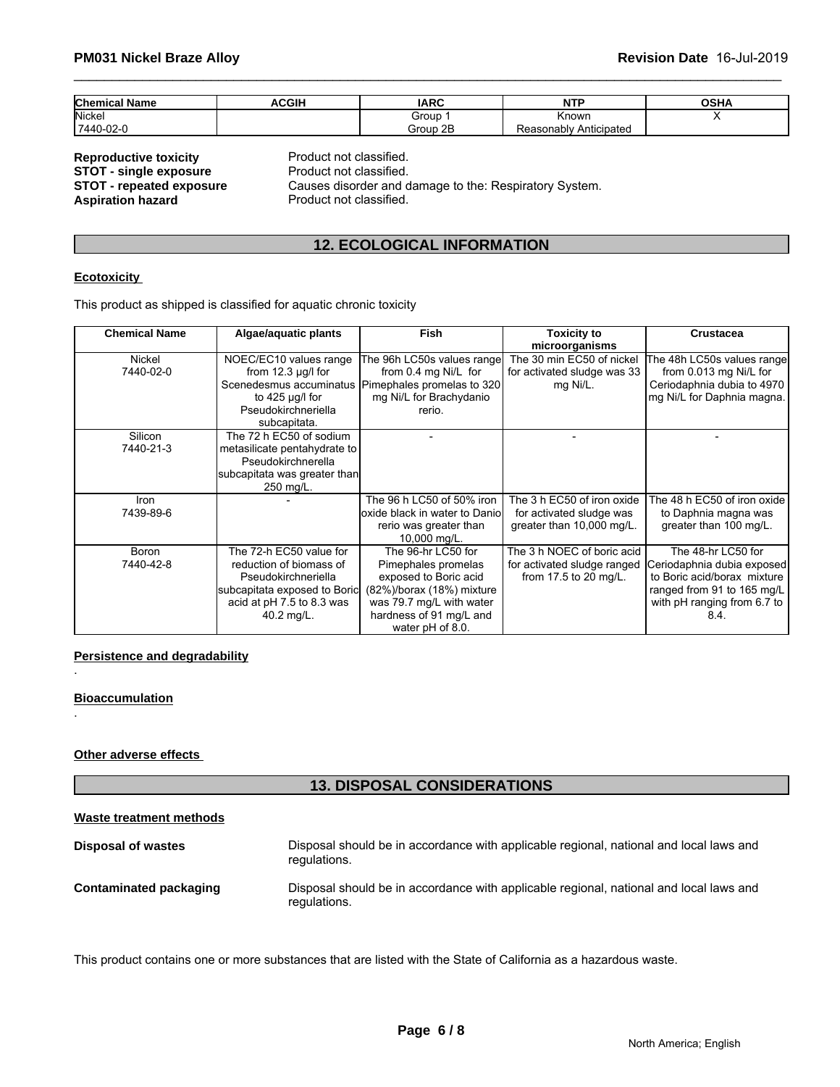| <b>Chemical Name</b> | <b>ACGIF</b> | <b>IARC</b> | <b>NITD</b><br>.           | <b>OSHA</b> |
|----------------------|--------------|-------------|----------------------------|-------------|
| Nicke.               |              | Group       | Known                      |             |
| 7440-02-0            |              | Group 2B    | Anticipateo<br>Reasonably, |             |

**Product not classified.** Product not classified. Causes disorder and damage to the: Respiratory System. Product not classified.

# **12. ECOLOGICAL INFORMATION**

### **Ecotoxicity**

| NGPI UWWUNG WAIGINY<br>Product not classified.<br><b>STOT - single exposure</b><br>Causes disorder and damage to the: Respiratory System.<br><b>STOT - repeated exposure</b><br><b>Aspiration hazard</b><br>Product not classified. |                                                                                                                                                      |                                                                                                                                                                            |                                                                                     |                                                                                                                                                      |  |  |
|-------------------------------------------------------------------------------------------------------------------------------------------------------------------------------------------------------------------------------------|------------------------------------------------------------------------------------------------------------------------------------------------------|----------------------------------------------------------------------------------------------------------------------------------------------------------------------------|-------------------------------------------------------------------------------------|------------------------------------------------------------------------------------------------------------------------------------------------------|--|--|
|                                                                                                                                                                                                                                     | <b>12. ECOLOGICAL INFORMATION</b>                                                                                                                    |                                                                                                                                                                            |                                                                                     |                                                                                                                                                      |  |  |
| <b>Ecotoxicity</b>                                                                                                                                                                                                                  |                                                                                                                                                      |                                                                                                                                                                            |                                                                                     |                                                                                                                                                      |  |  |
|                                                                                                                                                                                                                                     | This product as shipped is classified for aquatic chronic toxicity                                                                                   |                                                                                                                                                                            |                                                                                     |                                                                                                                                                      |  |  |
| <b>Chemical Name</b>                                                                                                                                                                                                                | Algae/aquatic plants                                                                                                                                 | <b>Fish</b>                                                                                                                                                                | <b>Toxicity to</b><br>microorganisms                                                | <b>Crustacea</b>                                                                                                                                     |  |  |
| Nickel<br>7440-02-0<br>Silicon                                                                                                                                                                                                      | NOEC/EC10 values range<br>from $12.3 \mu q/l$ for<br>to $425 \mu g/l$ for<br>Pseudokirchneriella<br>subcapitata.<br>The 72 h EC50 of sodium          | The 96h LC50s values range<br>from 0.4 mg Ni/L for<br>Scenedesmus accuminatus   Pimephales promelas to 320<br>mg Ni/L for Brachydanio<br>rerio.                            | The 30 min EC50 of nickel<br>for activated sludge was 33<br>mg Ni/L.                | The 48h LC50s values range<br>from 0.013 mg Ni/L for<br>Ceriodaphnia dubia to 4970<br>mg Ni/L for Daphnia magna.                                     |  |  |
| 7440-21-3                                                                                                                                                                                                                           | metasilicate pentahydrate to<br>Pseudokirchnerella<br>subcapitata was greater than<br>250 mg/L.                                                      |                                                                                                                                                                            |                                                                                     |                                                                                                                                                      |  |  |
| Iron<br>7439-89-6                                                                                                                                                                                                                   |                                                                                                                                                      | The 96 h LC50 of 50% iron<br>loxide black in water to Daniol<br>rerio was greater than<br>10,000 mg/L.                                                                     | The 3 h EC50 of iron oxide<br>for activated sludge was<br>greater than 10,000 mg/L. | The 48 h EC50 of iron oxide<br>to Daphnia magna was<br>greater than 100 mg/L.                                                                        |  |  |
| <b>Boron</b><br>7440-42-8                                                                                                                                                                                                           | The 72-h EC50 value for<br>reduction of biomass of<br>Pseudokirchneriella<br>subcapitata exposed to Boric<br>acid at pH 7.5 to 8.3 was<br>40.2 mg/L. | The 96-hr LC50 for<br>Pimephales promelas<br>exposed to Boric acid<br>(82%)/borax (18%) mixture<br>was 79.7 mg/L with water<br>hardness of 91 mg/L and<br>water pH of 8.0. | The 3 h NOEC of boric acid<br>for activated sludge ranged<br>from 17.5 to 20 mg/L.  | The 48-hr LC50 for<br>Ceriodaphnia dubia exposed<br>to Boric acid/borax mixture<br>ranged from 91 to 165 mg/L<br>with pH ranging from 6.7 to<br>8.4. |  |  |

### **Persistence and degradability**

### **Bioaccumulation**

.

.

### **Other adverse effects**

# **13. DISPOSAL CONSIDERATIONS**

| Waste treatment methods       |                                                                                                        |
|-------------------------------|--------------------------------------------------------------------------------------------------------|
| <b>Disposal of wastes</b>     | Disposal should be in accordance with applicable regional, national and local laws and<br>regulations. |
| <b>Contaminated packaging</b> | Disposal should be in accordance with applicable regional, national and local laws and<br>regulations. |

This product contains one or more substances that are listed with the State of California as a hazardous waste.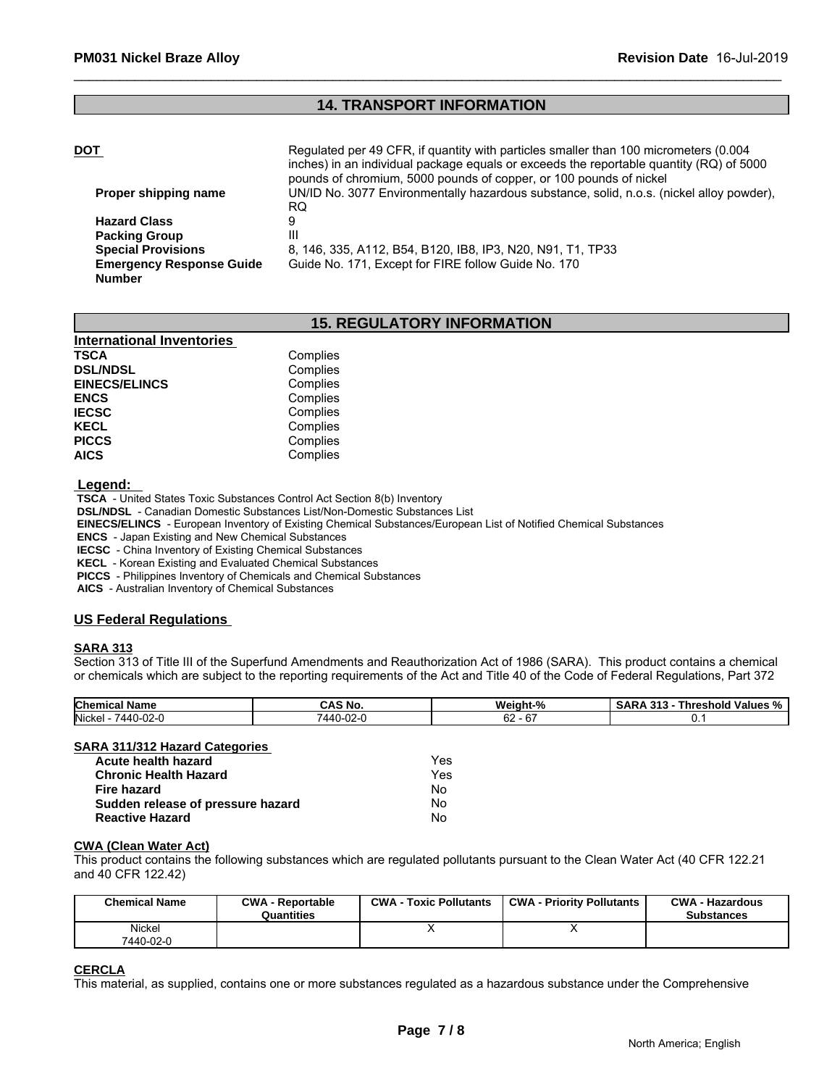# **14. TRANSPORT INFORMATION**

| <b>DOT</b>                      | Regulated per 49 CFR, if quantity with particles smaller than 100 micrometers (0.004<br>inches) in an individual package equals or exceeds the reportable quantity (RQ) of 5000<br>pounds of chromium, 5000 pounds of copper, or 100 pounds of nickel |
|---------------------------------|-------------------------------------------------------------------------------------------------------------------------------------------------------------------------------------------------------------------------------------------------------|
| Proper shipping name            | UN/ID No. 3077 Environmentally hazardous substance, solid, n.o.s. (nickel alloy powder),                                                                                                                                                              |
|                                 | RQ.                                                                                                                                                                                                                                                   |
| <b>Hazard Class</b>             |                                                                                                                                                                                                                                                       |
| <b>Packing Group</b>            | Ш                                                                                                                                                                                                                                                     |
| <b>Special Provisions</b>       | 8, 146, 335, A112, B54, B120, IB8, IP3, N20, N91, T1, TP33                                                                                                                                                                                            |
| <b>Emergency Response Guide</b> | Guide No. 171, Except for FIRE follow Guide No. 170                                                                                                                                                                                                   |
| <b>Number</b>                   |                                                                                                                                                                                                                                                       |

# **15. REGULATORY INFORMATION**

| <b>International Inventories</b> |          |
|----------------------------------|----------|
| <b>TSCA</b>                      | Complies |
| <b>DSL/NDSL</b>                  | Complies |
| <b>EINECS/ELINCS</b>             | Complies |
| <b>ENCS</b>                      | Complies |
| <b>IECSC</b>                     | Complies |
| <b>KECL</b>                      | Complies |
| <b>PICCS</b>                     | Complies |
| <b>AICS</b>                      | Complies |

 **Legend:** 

 **TSCA** - United States Toxic Substances Control Act Section 8(b) Inventory

 **DSL/NDSL** - Canadian Domestic Substances List/Non-Domestic Substances List

 **EINECS/ELINCS** - European Inventory of Existing Chemical Substances/European List of Notified Chemical Substances

 **ENCS** - Japan Existing and New Chemical Substances

 **IECSC** - China Inventory of Existing Chemical Substances

 **KECL** - Korean Existing and Evaluated Chemical Substances

 **PICCS** - Philippines Inventory of Chemicals and Chemical Substances

 **AICS** - Australian Inventory of Chemical Substances

### **US Federal Regulations**

### **SARA 313**

Section 313 of Title III of the Superfund Amendments and Reauthorization Act of 1986 (SARA). This product contains a chemical or chemicals which are subject to the reporting requirements of the Act and Title 40 of the Code of Federal Regulations, Part 372

| <b>Chemical</b><br>. .<br>Name                                                   | CAS No                         | Weight-            | <br>' Values<br>shold<br>nr<br>$\cdot$<br>70<br>. |
|----------------------------------------------------------------------------------|--------------------------------|--------------------|---------------------------------------------------|
| Nickel<br>. .<br>7110<br>$\sim$<br>$\Delta\Delta$<br>$\sim$ $\sim$ $\sim$ $\sim$ | . .<br>- 71 71 7<br>∙u∠∹u<br>- | $\sim$<br>. O<br>୰ |                                                   |

### **SARA 311/312 Hazard Categories**

| Acute health hazard               | Yes |
|-----------------------------------|-----|
| <b>Chronic Health Hazard</b>      | Yes |
| Fire hazard                       | Nο  |
| Sudden release of pressure hazard | Nο  |
| <b>Reactive Hazard</b>            | No  |

### **CWA (Clean Water Act)**

| Acute health hazard               |                         | Yes                           |                                                                                                                              |                        |
|-----------------------------------|-------------------------|-------------------------------|------------------------------------------------------------------------------------------------------------------------------|------------------------|
| <b>Chronic Health Hazard</b>      |                         | Yes                           |                                                                                                                              |                        |
| Fire hazard                       |                         | No.                           |                                                                                                                              |                        |
| Sudden release of pressure hazard |                         | No.                           |                                                                                                                              |                        |
| <b>Reactive Hazard</b>            |                         | No.                           |                                                                                                                              |                        |
| <b>CWA (Clean Water Act)</b>      |                         |                               |                                                                                                                              |                        |
| and 40 CFR 122.42)                |                         |                               | This product contains the following substances which are regulated pollutants pursuant to the Clean Water Act (40 CFR 122.21 |                        |
| <b>Chemical Name</b>              | <b>CWA - Reportable</b> | <b>CWA - Toxic Pollutants</b> | <b>CWA - Priority Pollutants</b>                                                                                             | <b>CWA - Hazardous</b> |
| Nickel                            | Quantities              | x                             | x                                                                                                                            | <b>Substances</b>      |

### **CERCLA**

This material, as supplied, contains one or more substances regulated as a hazardous substance under the Comprehensive